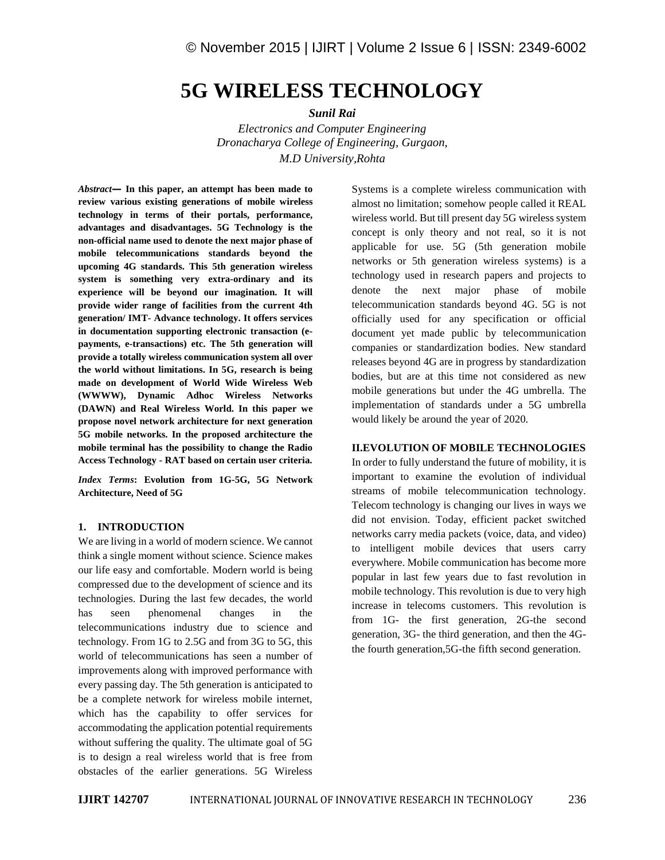# **5G WIRELESS TECHNOLOGY**

*Sunil Rai*

*Electronics and Computer Engineering Dronacharya College of Engineering, Gurgaon, M.D University,Rohta*

*Abstract—* **In this paper, an attempt has been made to review various existing generations of mobile wireless technology in terms of their portals, performance, advantages and disadvantages. 5G Technology is the non-official name used to denote the next major phase of mobile telecommunications standards beyond the upcoming 4G standards. This 5th generation wireless system is something very extra-ordinary and its experience will be beyond our imagination. It will provide wider range of facilities from the current 4th generation/ IMT- Advance technology. It offers services in documentation supporting electronic transaction (e payments, e-transactions) etc. The 5th generation will provide a totally wireless communication system all over the world without limitations. In 5G, research is being made on development of World Wide Wireless Web (WWWW), Dynamic Adhoc Wireless Networks (DAWN) and Real Wireless World. In this paper we propose novel network architecture for next generation 5G mobile networks. In the proposed architecture the mobile terminal has the possibility to change the Radio Access Technology - RAT based on certain user criteria.**

*Index Terms***: Evolution from 1G-5G, 5G Network Architecture, Need of 5G**

## **1. INTRODUCTION**

We are living in a world of modern science. We cannot think a single moment without science. Science makes our life easy and comfortable. Modern world is being compressed due to the development of science and its technologies. During the last few decades, the world has seen phenomenal changes in the telecommunications industry due to science and technology. From 1G to 2.5G and from 3G to 5G, this world of telecommunications has seen a number of improvements along with improved performance with every passing day. The 5th generation is anticipated to be a complete network for wireless mobile internet, which has the capability to offer services for accommodating the application potential requirements without suffering the quality. The ultimate goal of 5G is to design a real wireless world that is free from obstacles of the earlier generations. 5G Wireless

Systems is a complete wireless communication with almost no limitation; somehow people called it REAL wireless world. But till present day 5G wireless system concept is only theory and not real, so it is not applicable for use. 5G (5th generation mobile networks or 5th generation wireless systems) is a technology used in research papers and projects to denote the next major phase of mobile telecommunication standards beyond 4G. 5G is not officially used for any specification or official document yet made public by telecommunication companies or standardization bodies. New standard releases beyond 4G are in progress by standardization bodies, but are at this time not considered as new mobile generations but under the 4G umbrella. The implementation of standards under a 5G umbrella would likely be around the year of 2020.

# **II.EVOLUTION OF MOBILE TECHNOLOGIES**

In order to fully understand the future of mobility, it is important to examine the evolution of individual streams of mobile telecommunication technology. Telecom technology is changing our lives in ways we did not envision. Today, efficient packet switched networks carry media packets (voice, data, and video) to intelligent mobile devices that users carry everywhere. Mobile communication has become more popular in last few years due to fast revolution in mobile technology. This revolution is due to very high increase in telecoms customers. This revolution is from 1G- the first generation, 2G-the second generation, 3G- the third generation, and then the 4Gthe fourth generation,5G-the fifth second generation.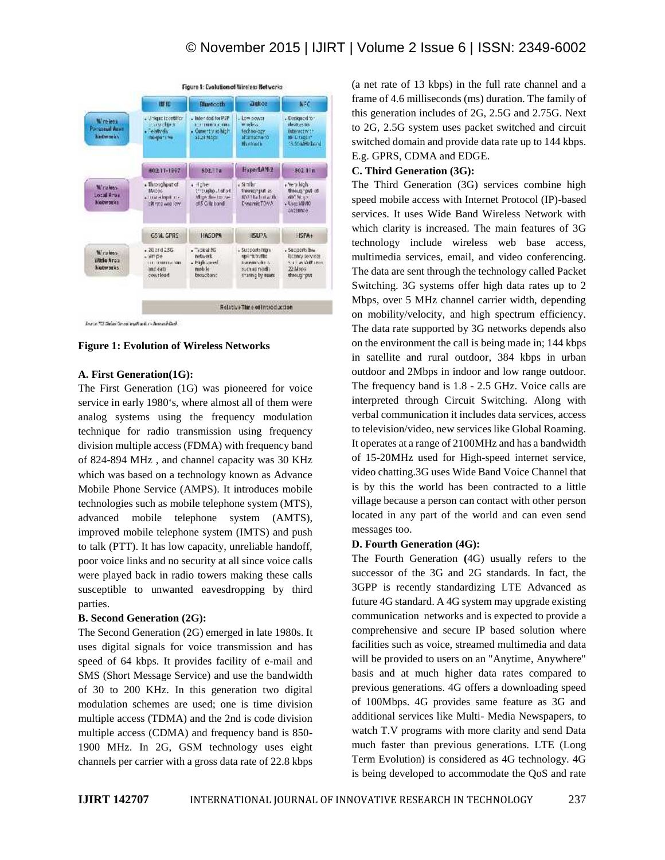|                                        | Figure 1: Evolution of Wireless Networks                                     |                                                                                       |                                                                                      |                                                                                         |
|----------------------------------------|------------------------------------------------------------------------------|---------------------------------------------------------------------------------------|--------------------------------------------------------------------------------------|-----------------------------------------------------------------------------------------|
|                                        | <b>ISTE</b>                                                                  | <b>Bluetecth</b>                                                                      | Zigkoo                                                                               | <b>NEC</b>                                                                              |
| Wireless<br>Parsonal Aren<br>kadwrele. | - Unkang Identifier<br>concites.<br>- Feldbydy<br><b>Do-650 T L Wa</b>       | - Interded for P2P<br><b>LOCATION CONTRACTOR</b><br>· Conventiv as high<br>35.24 MSCH | . Low power<br>milebox.<br>technology<br>alternative ro<br><b>Bluetooth</b>          | - Designed to -<br>dealton by<br>interactive th<br><b>M-Litigatin</b><br>S. 55 MHz band |
|                                        | 60211-1997                                                                   | SDZTTa                                                                                | HyperLAN-2                                                                           | 802 Ifn                                                                                 |
| Wiraless.<br>Local Arua<br>kistworks.  | · Throughput of<br><b>MAGOS</b><br>a Luxe along tres<br>THE FIRST WARD FORM. | a Hisher<br>Francisco (100 s4<br>Mary fire to cut<br>cf5 Gift band                    | ABE<br>theoreting units.<br>802154 hot with<br><b>CynamicTOMA</b>                    | where high-<br>through put of<br>WOO Moure<br><b>COMMAND</b><br><b>Distance</b>         |
|                                        | GSM. GPRS                                                                    | <b>HASDPS</b>                                                                         | <b>HSUPA</b>                                                                         | HSPA+                                                                                   |
| Windows<br>Wide Area<br>kabwarks.      | $-36$ and $256$<br>- sitricle<br>in contractor lent<br>mri dátal<br>courlead | $-7$ activel 30<br>network.<br>. High cared<br>mob le<br>beachane                     | . Supports high<br>upint outlet<br>transmission Av.<br>9.0143016<br>sharing by esses | . Supports law<br>Billing services<br><b>Satisfacture</b><br>22 Mags<br>sheets' put     |
|                                        | Relative Thire of Introduction                                               |                                                                                       |                                                                                      |                                                                                         |

Journe 722 Dielen Genes was Amster-America's College

**Figure 1: Evolution of Wireless Networks**

## **A. First Generation(1G):**

The First Generation (1G) was pioneered for voice service in early 1980's, where almost all of them were analog systems using the frequency modulation technique for radio transmission using frequency division multiple access (FDMA) with frequency band of 824-894 MHz , and channel capacity was 30 KHz which was based on a technology known as Advance Mobile Phone Service (AMPS). It introduces mobile technologies such as mobile telephone system (MTS), advanced mobile telephone system (AMTS), improved mobile telephone system (IMTS) and push to talk (PTT). It has low capacity, unreliable handoff, poor voice links and no security at all since voice calls were played back in radio towers making these calls susceptible to unwanted eavesdropping by third parties.

#### **B. Second Generation (2G):**

The Second Generation (2G) emerged in late 1980s. It uses digital signals for voice transmission and has speed of 64 kbps. It provides facility of e-mail and SMS (Short Message Service) and use the bandwidth of 30 to 200 KHz. In this generation two digital modulation schemes are used; one is time division multiple access (TDMA) and the 2nd is code division multiple access (CDMA) and frequency band is 850- 1900 MHz. In 2G, GSM technology uses eight channels per carrier with a gross data rate of 22.8 kbps (a net rate of 13 kbps) in the full rate channel and a frame of 4.6 milliseconds (ms) duration. The family of this generation includes of 2G, 2.5G and 2.75G. Next to 2G, 2.5G system uses packet switched and circuit switched domain and provide data rate up to 144 kbps. E.g. GPRS, CDMA and EDGE.

## **C. Third Generation (3G):**

The Third Generation (3G) services combine high speed mobile access with Internet Protocol (IP)-based services. It uses Wide Band Wireless Network with which clarity is increased. The main features of 3G technology include wireless web base access, multimedia services, email, and video conferencing. The data are sent through the technology called Packet Switching. 3G systems offer high data rates up to 2 Mbps, over 5 MHz channel carrier width, depending on mobility/velocity, and high spectrum efficiency. The data rate supported by 3G networks depends also on the environment the call is being made in; 144 kbps in satellite and rural outdoor, 384 kbps in urban outdoor and 2Mbps in indoor and low range outdoor. The frequency band is 1.8 - 2.5 GHz. Voice calls are interpreted through Circuit Switching. Along with verbal communication it includes data services, access to television/video, new services like Global Roaming. It operates at a range of 2100MHz and has a bandwidth of 15-20MHz used for High-speed internet service, video chatting.3G uses Wide Band Voice Channel that is by this the world has been contracted to a little village because a person can contact with other person located in any part of the world and can even send messages too.

## **D. Fourth Generation (4G):**

The Fourth Generation **(**4G) usually refers to the successor of the 3G and 2G standards. In fact, the 3GPP is recently standardizing LTE Advanced as future 4G standard. A 4G system may upgrade existing communication networks and is expected to provide a comprehensive and secure IP based solution where facilities such as voice, streamed multimedia and data will be provided to users on an "Anytime, Anywhere" basis and at much higher data rates compared to previous generations. 4G offers a downloading speed of 100Mbps. 4G provides same feature as 3G and additional services like Multi- Media Newspapers, to watch T.V programs with more clarity and send Data much faster than previous generations. LTE (Long Term Evolution) is considered as 4G technology. 4G is being developed to accommodate the QoS and rate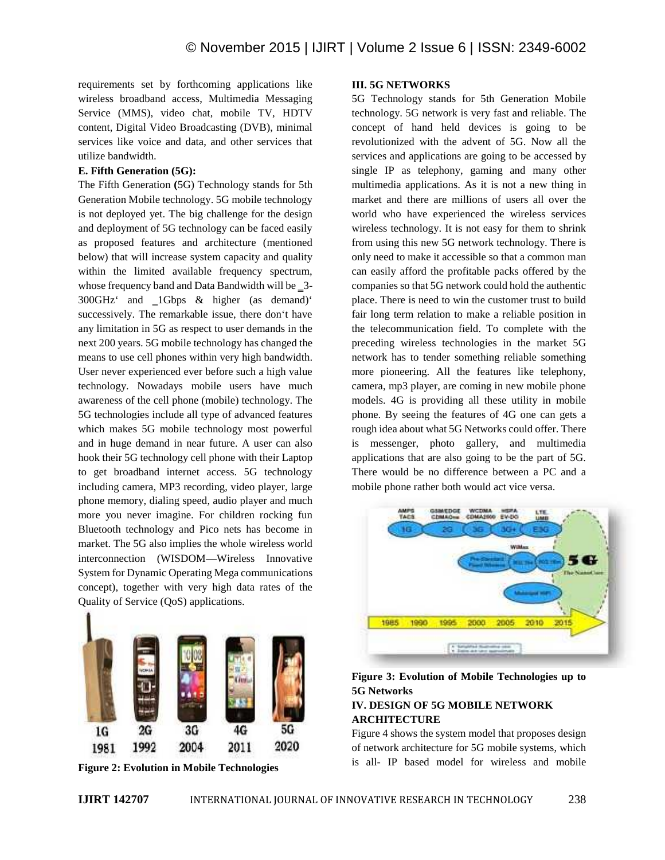requirements set by forthcoming applications like wireless broadband access, Multimedia Messaging Service (MMS), video chat, mobile TV, HDTV content, Digital Video Broadcasting (DVB), minimal services like voice and data, and other services that utilize bandwidth.

# **E. Fifth Generation (5G):**

The Fifth Generation **(**5G) Technology stands for 5th Generation Mobile technology. 5G mobile technology is not deployed yet. The big challenge for the design and deployment of 5G technology can be faced easily as proposed features and architecture (mentioned below) that will increase system capacity and quality within the limited available frequency spectrum, whose frequency band and Data Bandwidth will be 3-300GHz' and 1Gbps & higher (as demand)' successively. The remarkable issue, there don't have any limitation in 5G as respect to user demands in the next 200 years. 5G mobile technology has changed the means to use cell phones within very high bandwidth. User never experienced ever before such a high value technology. Nowadays mobile users have much awareness of the cell phone (mobile) technology. The 5G technologies include all type of advanced features which makes 5G mobile technology most powerful and in huge demand in near future. A user can also hook their 5G technology cell phone with their Laptop to get broadband internet access. 5G technology including camera, MP3 recording, video player, large phone memory, dialing speed, audio player and much more you never imagine. For children rocking fun Bluetooth technology and Pico nets has become in market. The 5G also implies the whole wireless world interconnection (WISDOM—Wireless Innovative System for Dynamic Operating Mega communications concept), together with very high data rates of the Quality of Service (QoS) applications.



**Figure 2: Evolution in Mobile Technologies**

# **III. 5G NETWORKS**

5G Technology stands for 5th Generation Mobile technology. 5G network is very fast and reliable. The concept of hand held devices is going to be revolutionized with the advent of 5G. Now all the services and applications are going to be accessed by single IP as telephony, gaming and many other multimedia applications. As it is not a new thing in market and there are millions of users all over the world who have experienced the wireless services wireless technology. It is not easy for them to shrink from using this new 5G network technology. There is only need to make it accessible so that a common man can easily afford the profitable packs offered by the companies so that 5G network could hold the authentic place. There is need to win the customer trust to build fair long term relation to make a reliable position in the telecommunication field. To complete with the preceding wireless technologies in the market 5G network has to tender something reliable something more pioneering. All the features like telephony, camera, mp3 player, are coming in new mobile phone models. 4G is providing all these utility in mobile phone. By seeing the features of 4G one can gets a rough idea about what 5G Networks could offer. There is messenger, photo gallery, and multimedia applications that are also going to be the part of 5G. There would be no difference between a PC and a mobile phone rather both would act vice versa.



**Figure 3: Evolution of Mobile Technologies up to 5G Networks**

# **IV. DESIGN OF 5G MOBILE NETWORK ARCHITECTURE**

Figure 4 shows the system model that proposes design of network architecture for 5G mobile systems, which is all- IP based model for wireless and mobile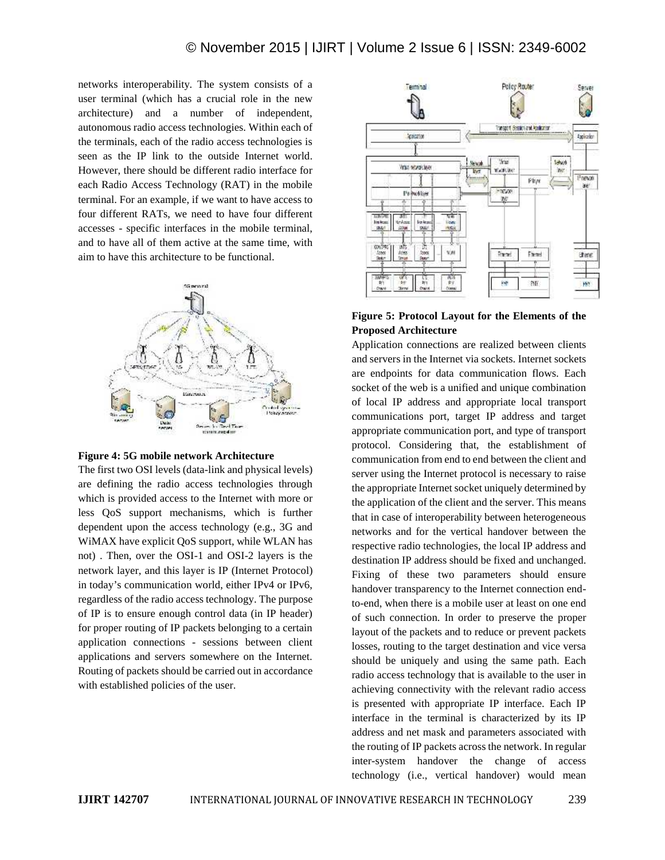networks interoperability. The system consists of a user terminal (which has a crucial role in the new architecture) and a number of independent, autonomous radio access technologies. Within each of the terminals, each of the radio access technologies is seen as the IP link to the outside Internet world. However, there should be different radio interface for each Radio Access Technology (RAT) in the mobile terminal. For an example, if we want to have access to four different RATs, we need to have four different accesses - specific interfaces in the mobile terminal, and to have all of them active at the same time, with aim to have this architecture to be functional.





The first two OSI levels (data-link and physical levels) are defining the radio access technologies through which is provided access to the Internet with more or less QoS support mechanisms, which is further dependent upon the access technology (e.g., 3G and WiMAX have explicit QoS support, while WLAN has not) . Then, over the OSI-1 and OSI-2 layers is the network layer, and this layer is IP (Internet Protocol) in today's communication world, either IPv4 or IPv6, regardless of the radio access technology. The purpose of IP is to ensure enough control data (in IP header) for proper routing of IP packets belonging to a certain application connections - sessions between client applications and servers somewhere on the Internet. Routing of packets should be carried out in accordance with established policies of the user.



# **Figure 5: Protocol Layout for the Elements of the Proposed Architecture**

Application connections are realized between clients and servers in the Internet via sockets. Internet sockets are endpoints for data communication flows. Each socket of the web is a unified and unique combination of local IP address and appropriate local transport communications port, target IP address and target appropriate communication port, and type of transport protocol. Considering that, the establishment of communication from end to end between the client and server using the Internet protocol is necessary to raise the appropriate Internet socket uniquely determined by the application of the client and the server. This means that in case of interoperability between heterogeneous networks and for the vertical handover between the respective radio technologies, the local IP address and destination IP address should be fixed and unchanged. Fixing of these two parameters should ensure handover transparency to the Internet connection endto-end, when there is a mobile user at least on one end of such connection. In order to preserve the proper layout of the packets and to reduce or prevent packets losses, routing to the target destination and vice versa should be uniquely and using the same path. Each radio access technology that is available to the user in achieving connectivity with the relevant radio access is presented with appropriate IP interface. Each IP interface in the terminal is characterized by its IP address and net mask and parameters associated with the routing of IP packets across the network. In regular inter-system handover the change of access technology (i.e., vertical handover) would mean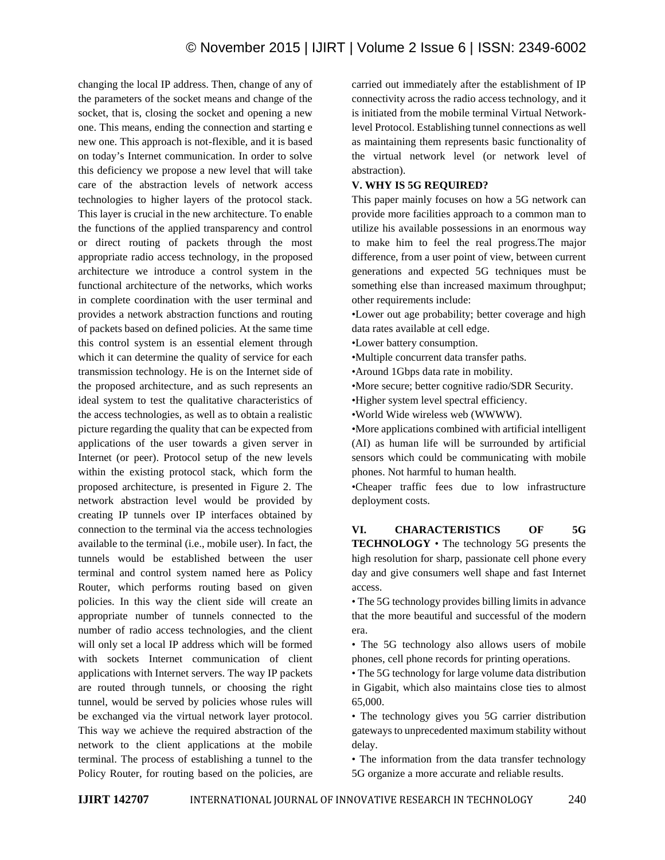changing the local IP address. Then, change of any of the parameters of the socket means and change of the socket, that is, closing the socket and opening a new one. This means, ending the connection and starting e new one. This approach is not-flexible, and it is based on today's Internet communication. In order to solve this deficiency we propose a new level that will take care of the abstraction levels of network access technologies to higher layers of the protocol stack. This layer is crucial in the new architecture. To enable the functions of the applied transparency and control or direct routing of packets through the most appropriate radio access technology, in the proposed architecture we introduce a control system in the functional architecture of the networks, which works in complete coordination with the user terminal and provides a network abstraction functions and routing of packets based on defined policies. At the same time this control system is an essential element through which it can determine the quality of service for each transmission technology. He is on the Internet side of the proposed architecture, and as such represents an ideal system to test the qualitative characteristics of the access technologies, as well as to obtain a realistic picture regarding the quality that can be expected from applications of the user towards a given server in Internet (or peer). Protocol setup of the new levels within the existing protocol stack, which form the proposed architecture, is presented in Figure 2. The network abstraction level would be provided by creating IP tunnels over IP interfaces obtained by connection to the terminal via the access technologies available to the terminal (i.e., mobile user). In fact, the tunnels would be established between the user terminal and control system named here as Policy Router, which performs routing based on given policies. In this way the client side will create an appropriate number of tunnels connected to the number of radio access technologies, and the client will only set a local IP address which will be formed with sockets Internet communication of client applications with Internet servers. The way IP packets are routed through tunnels, or choosing the right tunnel, would be served by policies whose rules will be exchanged via the virtual network layer protocol. This way we achieve the required abstraction of the network to the client applications at the mobile terminal. The process of establishing a tunnel to the Policy Router, for routing based on the policies, are

carried out immediately after the establishment of IP connectivity across the radio access technology, and it is initiated from the mobile terminal Virtual Networklevel Protocol. Establishing tunnel connections as well as maintaining them represents basic functionality of the virtual network level (or network level of abstraction).

## **V. WHY IS 5G REQUIRED?**

This paper mainly focuses on how a 5G network can provide more facilities approach to a common man to utilize his available possessions in an enormous way to make him to feel the real progress.The major difference, from a user point of view, between current generations and expected 5G techniques must be something else than increased maximum throughput; other requirements include:

•Lower out age probability; better coverage and high data rates available at cell edge.

•Lower battery consumption.

•Multiple concurrent data transfer paths.

•Around 1Gbps data rate in mobility.

•More secure; better cognitive radio/SDR Security.

•Higher system level spectral efficiency.

•World Wide wireless web (WWWW).

•More applications combined with artificial intelligent (AI) as human life will be surrounded by artificial sensors which could be communicating with mobile phones. Not harmful to human health.

•Cheaper traffic fees due to low infrastructure deployment costs.

**VI. CHARACTERISTICS OF 5G TECHNOLOGY** • The technology 5G presents the high resolution for sharp, passionate cell phone every day and give consumers well shape and fast Internet access.

• The 5G technology provides billing limits in advance that the more beautiful and successful of the modern era.

• The 5G technology also allows users of mobile phones, cell phone records for printing operations.

• The 5G technology for large volume data distribution in Gigabit, which also maintains close ties to almost 65,000.

• The technology gives you 5G carrier distribution gateways to unprecedented maximum stability without delay.

• The information from the data transfer technology 5G organize a more accurate and reliable results.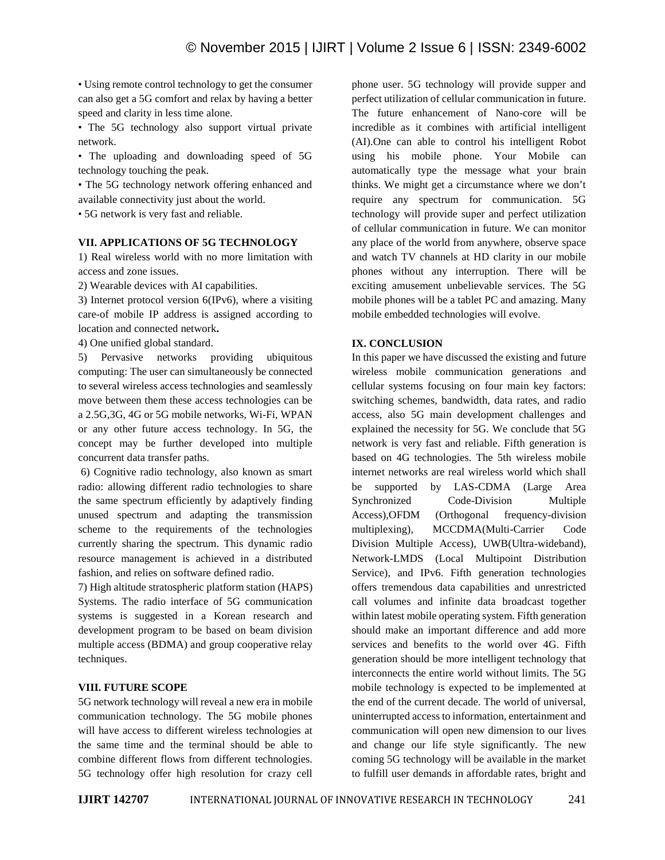• Using remote control technology to get the consumer can also get a 5G comfort and relax by having a better speed and clarity in less time alone.

• The 5G technology also support virtual private network.

• The uploading and downloading speed of 5G technology touching the peak.

• The 5G technology network offering enhanced and available connectivity just about the world.

• 5G network is very fast and reliable.

# **VII. APPLICATIONS OF 5G TECHNOLOGY**

1) Real wireless world with no more limitation with access and zone issues.

2) Wearable devices with AI capabilities.

3) Internet protocol version 6(IPv6), where a visiting care-of mobile IP address is assigned according to location and connected network**.**

4) One unified global standard.

5) Pervasive networks providing ubiquitous computing: The user can simultaneously be connected to several wireless access technologies and seamlessly move between them these access technologies can be a 2.5G,3G, 4G or 5G mobile networks, Wi-Fi, WPAN or any other future access technology. In 5G, the concept may be further developed into multiple concurrent data transfer paths.

6) Cognitive radio technology, also known as smart radio: allowing different radio technologies to share the same spectrum efficiently by adaptively finding unused spectrum and adapting the transmission scheme to the requirements of the technologies currently sharing the spectrum. This dynamic radio resource management is achieved in a distributed fashion, and relies on software defined radio.

7) High altitude stratospheric platform station (HAPS) Systems. The radio interface of 5G communication systems is suggested in a Korean research and development program to be based on beam division multiple access (BDMA) and group cooperative relay techniques.

# **VIII. FUTURE SCOPE**

5G network technology will reveal a new era in mobile communication technology. The 5G mobile phones will have access to different wireless technologies at the same time and the terminal should be able to combine different flows from different technologies. 5G technology offer high resolution for crazy cell

phone user. 5G technology will provide supper and perfect utilization of cellular communication in future. The future enhancement of Nano-core will be incredible as it combines with artificial intelligent (AI).One can able to control his intelligent Robot using his mobile phone. Your Mobile can automatically type the message what your brain thinks. We might get a circumstance where we don't require any spectrum for communication. 5G technology will provide super and perfect utilization of cellular communication in future. We can monitor any place of the world from anywhere, observe space and watch TV channels at HD clarity in our mobile phones without any interruption. There will be exciting amusement unbelievable services. The 5G mobile phones will be a tablet PC and amazing. Many mobile embedded technologies will evolve.

## **IX. CONCLUSION**

In this paper we have discussed the existing and future wireless mobile communication generations and cellular systems focusing on four main key factors: switching schemes, bandwidth, data rates, and radio access, also 5G main development challenges and explained the necessity for 5G. We conclude that 5G network is very fast and reliable. Fifth generation is based on 4G technologies. The 5th wireless mobile internet networks are real wireless world which shall be supported by LAS-CDMA (Large Area Code-Division Multiple (Orthogonal frequency-division multiplexing), MCCDMA(Multi-Carrier Code Division Multiple Access), UWB(Ultra-wideband), Network-LMDS (Local Multipoint Distribution Service), and IPv6. Fifth generation technologies offers tremendous data capabilities and unrestricted call volumes and infinite data broadcast together within latest mobile operating system. Fifth generation should make an important difference and add more services and benefits to the world over 4G. Fifth generation should be more intelligent technology that interconnects the entire world without limits. The 5G mobile technology is expected to be implemented at the end of the current decade. The world of universal, uninterrupted access to information, entertainment and communication will open new dimension to our lives and change our life style significantly. The new coming 5G technology will be available in the market to fulfill user demands in affordable rates, bright and